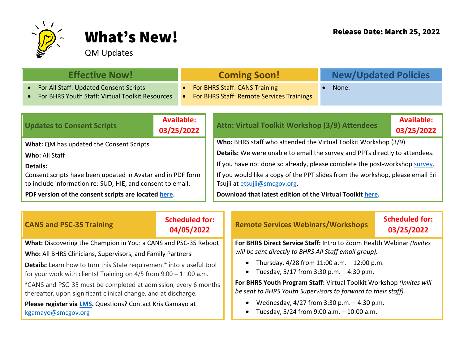

## What's New! Release Date: March 25, 2022

## QM Updates

| <b>Effective Now!</b>                                                                                                     |                          | <b>Coming Soon!</b> |                                                                                                                 | <b>New/Updated Policies</b>                    |  |  |  |
|---------------------------------------------------------------------------------------------------------------------------|--------------------------|---------------------|-----------------------------------------------------------------------------------------------------------------|------------------------------------------------|--|--|--|
| For All Staff: Updated Consent Scripts<br>$\bullet$<br>$\bullet$<br>For BHRS Youth Staff: Virtual Toolkit Resources       |                          |                     | For BHRS Staff: CANS Training<br>For BHRS Staff: Remote Services Trainings                                      | None.                                          |  |  |  |
| <b>Updates to Consent Scripts</b>                                                                                         | Available:<br>03/25/2022 |                     |                                                                                                                 | Attn: Virtual Toolkit Workshop (3/9) Attendees |  |  |  |
| What: QM has updated the Consent Scripts.                                                                                 |                          |                     | Who: BHRS staff who attended the Virtual Toolkit Workshop (3/9)                                                 |                                                |  |  |  |
| Who: All Staff                                                                                                            |                          |                     | Details: We were unable to email the survey and PPTs directly to attendees.                                     |                                                |  |  |  |
| Details:                                                                                                                  |                          |                     | If you have not done so already, please complete the post-workshop survey.                                      |                                                |  |  |  |
| Consent scripts have been updated in Avatar and in PDF form<br>to include information re: SUD, HIE, and consent to email. |                          |                     | If you would like a copy of the PPT slides from the workshop, please email Eri<br>Tsujii at etsujii@smcgov.org. |                                                |  |  |  |
| PDF version of the consent scripts are located here.                                                                      |                          |                     | Download that latest edition of the Virtual Toolkit here.                                                       |                                                |  |  |  |
|                                                                                                                           |                          |                     |                                                                                                                 |                                                |  |  |  |

| <b>CANS and PSC-35 Training</b>                                                                                                             | <b>Scheduled for:</b><br>04/05/2022 |  | <b>Remote Services Webinars/Workshops</b>                                                                                             | <b>Scheduled for:</b><br>03/25/2022 |  |  |
|---------------------------------------------------------------------------------------------------------------------------------------------|-------------------------------------|--|---------------------------------------------------------------------------------------------------------------------------------------|-------------------------------------|--|--|
| What: Discovering the Champion in You: a CANS and PSC-35 Reboot                                                                             |                                     |  | For BHRS Direct Service Staff: Intro to Zoom Health Webinar (Invites                                                                  |                                     |  |  |
| Who: All BHRS Clinicians, Supervisors, and Family Partners                                                                                  |                                     |  | will be sent directly to BHRS All Staff email group).                                                                                 |                                     |  |  |
| Details: Learn how to turn this State requirement* into a useful tool<br>for your work with clients! Training on 4/5 from 9:00 - 11:00 a.m. |                                     |  | • Thursday, $4/28$ from 11:00 a.m. $-12:00$ p.m.<br>• Tuesday, $5/17$ from 3:30 p.m. $-4:30$ p.m.                                     |                                     |  |  |
| *CANS and PSC-35 must be completed at admission, every 6 months<br>thereafter, upon significant clinical change, and at discharge.          |                                     |  | For BHRS Youth Program Staff: Virtual Toolkit Workshop (Invites will<br>be sent to BHRS Youth Supervisors to forward to their staff). |                                     |  |  |
| Please register via LMS. Questions? Contact Kris Gamayo at<br>kgamayo@smcgov.org                                                            |                                     |  | Wednesday, $4/27$ from 3:30 p.m. $-4:30$ p.m.<br>$\bullet$<br>Tuesday, 5/24 from 9:00 a.m. - 10:00 a.m.<br>$\bullet$                  |                                     |  |  |